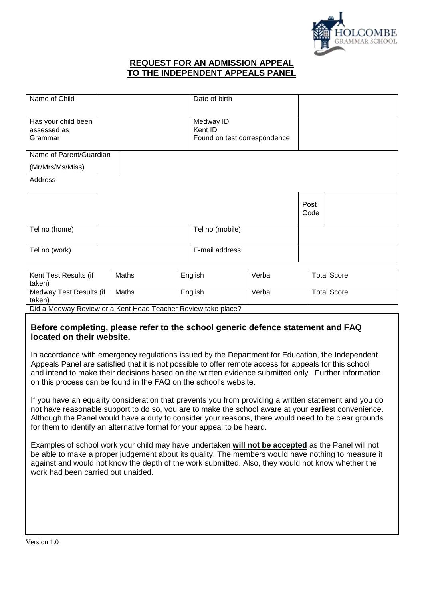

## **REQUEST FOR AN ADMISSION APPEAL TO THE INDEPENDENT APPEALS PANEL**

| Name of Child                                 | Date of birth                                        |              |  |
|-----------------------------------------------|------------------------------------------------------|--------------|--|
| Has your child been<br>assessed as<br>Grammar | Medway ID<br>Kent ID<br>Found on test correspondence |              |  |
| Name of Parent/Guardian                       |                                                      |              |  |
| (Mr/Mrs/Ms/Miss)                              |                                                      |              |  |
| Address                                       |                                                      |              |  |
|                                               |                                                      |              |  |
|                                               |                                                      | Post<br>Code |  |
|                                               |                                                      |              |  |
| Tel no (home)                                 | Tel no (mobile)                                      |              |  |
|                                               |                                                      |              |  |
| Tel no (work)                                 | E-mail address                                       |              |  |

| Kent Test Results (if                                         | Maths | English | Verbal | <b>Total Score</b> |  |
|---------------------------------------------------------------|-------|---------|--------|--------------------|--|
| taken)                                                        |       |         |        |                    |  |
| Medway Test Results (if                                       | Maths | English | Verbal | <b>Total Score</b> |  |
| taken)                                                        |       |         |        |                    |  |
| Did a Medway Review or a Kent Head Teacher Review take place? |       |         |        |                    |  |

## **Before completing, please refer to the school generic defence statement and FAQ located on their website.**

In accordance with emergency regulations issued by the Department for Education, the Independent Appeals Panel are satisfied that it is not possible to offer remote access for appeals for this school and intend to make their decisions based on the written evidence submitted only. Further information on this process can be found in the FAQ on the school's website.

If you have an equality consideration that prevents you from providing a written statement and you do not have reasonable support to do so, you are to make the school aware at your earliest convenience. Although the Panel would have a duty to consider your reasons, there would need to be clear grounds for them to identify an alternative format for your appeal to be heard.

Examples of school work your child may have undertaken **will not be accepted** as the Panel will not be able to make a proper judgement about its quality. The members would have nothing to measure it against and would not know the depth of the work submitted. Also, they would not know whether the work had been carried out unaided.